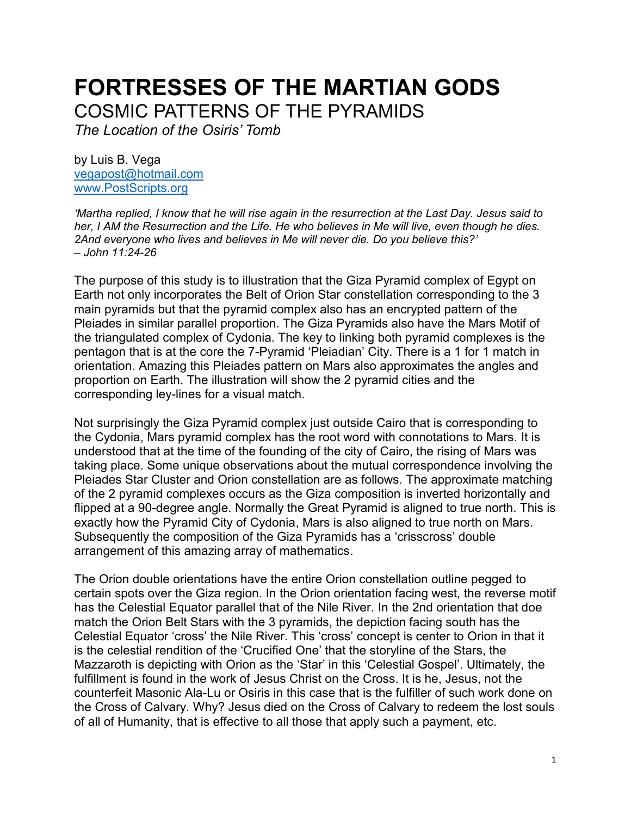## **FORTRESSES OF THE MARTIAN GODS**

COSMIC PATTERNS OF THE PYRAMIDS

*The Location of the Osiris' Tomb*

by Luis B. Vega [vegapost@hotmail.com](mailto:vegapost@hotmail.com) [www.PostScripts.org](http://www.postscripts.org/)

*'Martha replied, I know that he will rise again in the resurrection at the Last Day. Jesus said to her, I AM the Resurrection and the Life. He who believes in Me will live, even though he dies. 2And everyone who lives and believes in Me will never die. Do you believe this?' – John 11:24-26*

The purpose of this study is to illustration that the Giza Pyramid complex of Egypt on Earth not only incorporates the Belt of Orion Star constellation corresponding to the 3 main pyramids but that the pyramid complex also has an encrypted pattern of the Pleiades in similar parallel proportion. The Giza Pyramids also have the Mars Motif of the triangulated complex of Cydonia. The key to linking both pyramid complexes is the pentagon that is at the core the 7-Pyramid 'Pleiadian' City. There is a 1 for 1 match in orientation. Amazing this Pleiades pattern on Mars also approximates the angles and proportion on Earth. The illustration will show the 2 pyramid cities and the corresponding ley-lines for a visual match.

Not surprisingly the Giza Pyramid complex just outside Cairo that is corresponding to the Cydonia, Mars pyramid complex has the root word with connotations to Mars. It is understood that at the time of the founding of the city of Cairo, the rising of Mars was taking place. Some unique observations about the mutual correspondence involving the Pleiades Star Cluster and Orion constellation are as follows. The approximate matching of the 2 pyramid complexes occurs as the Giza composition is inverted horizontally and flipped at a 90-degree angle. Normally the Great Pyramid is aligned to true north. This is exactly how the Pyramid City of Cydonia, Mars is also aligned to true north on Mars. Subsequently the composition of the Giza Pyramids has a 'crisscross' double arrangement of this amazing array of mathematics.

The Orion double orientations have the entire Orion constellation outline pegged to certain spots over the Giza region. In the Orion orientation facing west, the reverse motif has the Celestial Equator parallel that of the Nile River. In the 2nd orientation that doe match the Orion Belt Stars with the 3 pyramids, the depiction facing south has the Celestial Equator 'cross' the Nile River. This 'cross' concept is center to Orion in that it is the celestial rendition of the 'Crucified One' that the storyline of the Stars, the Mazzaroth is depicting with Orion as the 'Star' in this 'Celestial Gospel'. Ultimately, the fulfillment is found in the work of Jesus Christ on the Cross. It is he, Jesus, not the counterfeit Masonic Ala-Lu or Osiris in this case that is the fulfiller of such work done on the Cross of Calvary. Why? Jesus died on the Cross of Calvary to redeem the lost souls of all of Humanity, that is effective to all those that apply such a payment, etc.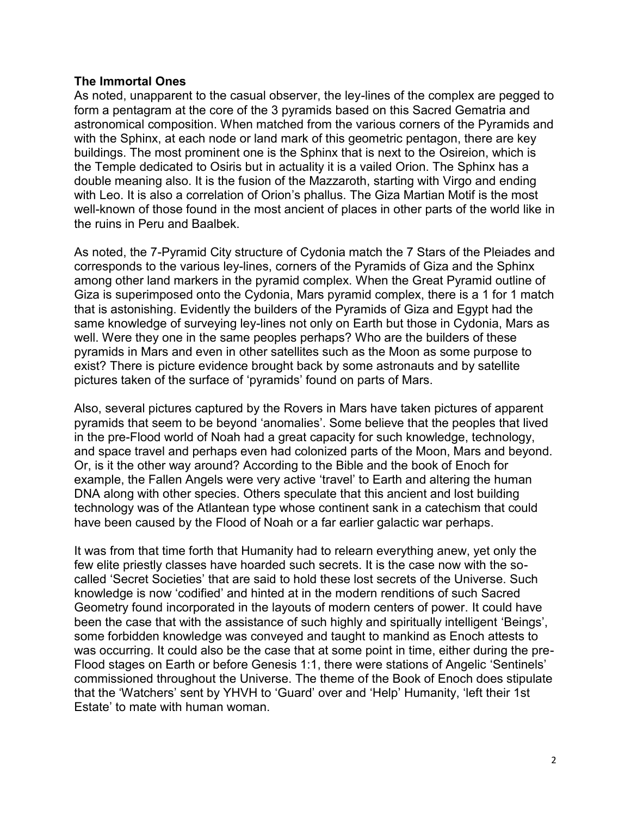## **The Immortal Ones**

As noted, unapparent to the casual observer, the ley-lines of the complex are pegged to form a pentagram at the core of the 3 pyramids based on this Sacred Gematria and astronomical composition. When matched from the various corners of the Pyramids and with the Sphinx, at each node or land mark of this geometric pentagon, there are key buildings. The most prominent one is the Sphinx that is next to the Osireion, which is the Temple dedicated to Osiris but in actuality it is a vailed Orion. The Sphinx has a double meaning also. It is the fusion of the Mazzaroth, starting with Virgo and ending with Leo. It is also a correlation of Orion's phallus. The Giza Martian Motif is the most well-known of those found in the most ancient of places in other parts of the world like in the ruins in Peru and Baalbek.

As noted, the 7-Pyramid City structure of Cydonia match the 7 Stars of the Pleiades and corresponds to the various ley-lines, corners of the Pyramids of Giza and the Sphinx among other land markers in the pyramid complex. When the Great Pyramid outline of Giza is superimposed onto the Cydonia, Mars pyramid complex, there is a 1 for 1 match that is astonishing. Evidently the builders of the Pyramids of Giza and Egypt had the same knowledge of surveying ley-lines not only on Earth but those in Cydonia, Mars as well. Were they one in the same peoples perhaps? Who are the builders of these pyramids in Mars and even in other satellites such as the Moon as some purpose to exist? There is picture evidence brought back by some astronauts and by satellite pictures taken of the surface of 'pyramids' found on parts of Mars.

Also, several pictures captured by the Rovers in Mars have taken pictures of apparent pyramids that seem to be beyond 'anomalies'. Some believe that the peoples that lived in the pre-Flood world of Noah had a great capacity for such knowledge, technology, and space travel and perhaps even had colonized parts of the Moon, Mars and beyond. Or, is it the other way around? According to the Bible and the book of Enoch for example, the Fallen Angels were very active 'travel' to Earth and altering the human DNA along with other species. Others speculate that this ancient and lost building technology was of the Atlantean type whose continent sank in a catechism that could have been caused by the Flood of Noah or a far earlier galactic war perhaps.

It was from that time forth that Humanity had to relearn everything anew, yet only the few elite priestly classes have hoarded such secrets. It is the case now with the socalled 'Secret Societies' that are said to hold these lost secrets of the Universe. Such knowledge is now 'codified' and hinted at in the modern renditions of such Sacred Geometry found incorporated in the layouts of modern centers of power. It could have been the case that with the assistance of such highly and spiritually intelligent 'Beings', some forbidden knowledge was conveyed and taught to mankind as Enoch attests to was occurring. It could also be the case that at some point in time, either during the pre-Flood stages on Earth or before Genesis 1:1, there were stations of Angelic 'Sentinels' commissioned throughout the Universe. The theme of the Book of Enoch does stipulate that the 'Watchers' sent by YHVH to 'Guard' over and 'Help' Humanity, 'left their 1st Estate' to mate with human woman.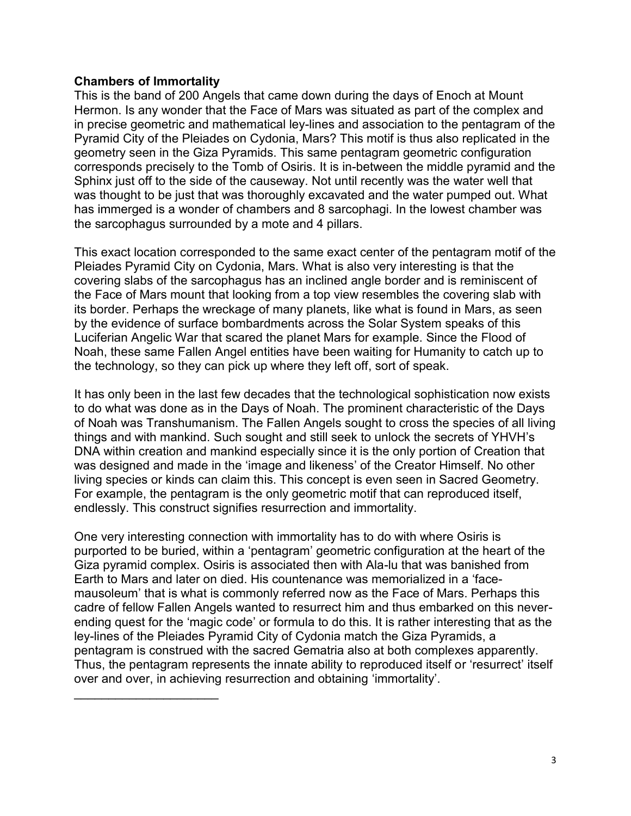## **Chambers of Immortality**

 $\mathcal{L}_\text{max}$  , where  $\mathcal{L}_\text{max}$  , we have the set of  $\mathcal{L}_\text{max}$ 

This is the band of 200 Angels that came down during the days of Enoch at Mount Hermon. Is any wonder that the Face of Mars was situated as part of the complex and in precise geometric and mathematical ley-lines and association to the pentagram of the Pyramid City of the Pleiades on Cydonia, Mars? This motif is thus also replicated in the geometry seen in the Giza Pyramids. This same pentagram geometric configuration corresponds precisely to the Tomb of Osiris. It is in-between the middle pyramid and the Sphinx just off to the side of the causeway. Not until recently was the water well that was thought to be just that was thoroughly excavated and the water pumped out. What has immerged is a wonder of chambers and 8 sarcophagi. In the lowest chamber was the sarcophagus surrounded by a mote and 4 pillars.

This exact location corresponded to the same exact center of the pentagram motif of the Pleiades Pyramid City on Cydonia, Mars. What is also very interesting is that the covering slabs of the sarcophagus has an inclined angle border and is reminiscent of the Face of Mars mount that looking from a top view resembles the covering slab with its border. Perhaps the wreckage of many planets, like what is found in Mars, as seen by the evidence of surface bombardments across the Solar System speaks of this Luciferian Angelic War that scared the planet Mars for example. Since the Flood of Noah, these same Fallen Angel entities have been waiting for Humanity to catch up to the technology, so they can pick up where they left off, sort of speak.

It has only been in the last few decades that the technological sophistication now exists to do what was done as in the Days of Noah. The prominent characteristic of the Days of Noah was Transhumanism. The Fallen Angels sought to cross the species of all living things and with mankind. Such sought and still seek to unlock the secrets of YHVH's DNA within creation and mankind especially since it is the only portion of Creation that was designed and made in the 'image and likeness' of the Creator Himself. No other living species or kinds can claim this. This concept is even seen in Sacred Geometry. For example, the pentagram is the only geometric motif that can reproduced itself, endlessly. This construct signifies resurrection and immortality.

One very interesting connection with immortality has to do with where Osiris is purported to be buried, within a 'pentagram' geometric configuration at the heart of the Giza pyramid complex. Osiris is associated then with Ala-lu that was banished from Earth to Mars and later on died. His countenance was memorialized in a 'facemausoleum' that is what is commonly referred now as the Face of Mars. Perhaps this cadre of fellow Fallen Angels wanted to resurrect him and thus embarked on this neverending quest for the 'magic code' or formula to do this. It is rather interesting that as the ley-lines of the Pleiades Pyramid City of Cydonia match the Giza Pyramids, a pentagram is construed with the sacred Gematria also at both complexes apparently. Thus, the pentagram represents the innate ability to reproduced itself or 'resurrect' itself over and over, in achieving resurrection and obtaining 'immortality'.